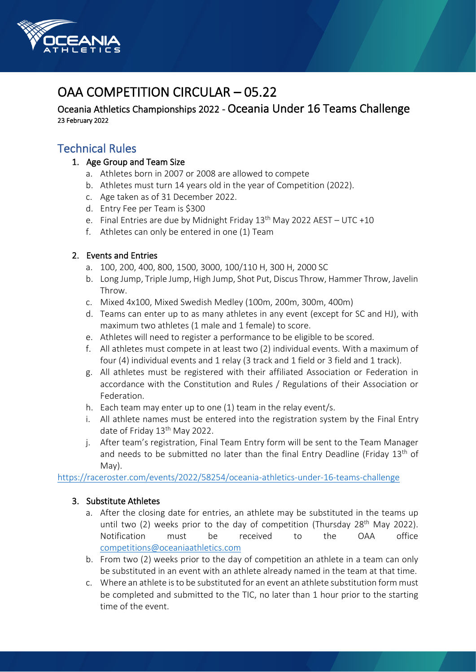

# OAA COMPETITION CIRCUI AR - 05.22

Oceania Athletics Championships 2022 - Oceania Under 16 Teams Challenge 23 February 2022

# Technical Rules

- 1. Age Group and Team Size
	- a. Athletes born in 2007 or 2008 are allowed to compete
	- b. Athletes must turn 14 years old in the year of Competition (2022).
	- c. Age taken as of 31 December 2022.
	- d. Entry Fee per Team is \$300
	- e. Final Entries are due by Midnight Friday  $13<sup>th</sup>$  May 2022 AEST UTC +10
	- f. Athletes can only be entered in one (1) Team

### 2. Events and Entries

- a. 100, 200, 400, 800, 1500, 3000, 100/110 H, 300 H, 2000 SC
- b. Long Jump, Triple Jump, High Jump, Shot Put, Discus Throw, Hammer Throw, Javelin Throw.
- c. Mixed 4x100, Mixed Swedish Medley (100m, 200m, 300m, 400m)
- d. Teams can enter up to as many athletes in any event (except for SC and HJ), with maximum two athletes (1 male and 1 female) to score.
- e. Athletes will need to register a performance to be eligible to be scored.
- f. All athletes must compete in at least two (2) individual events. With a maximum of four (4) individual events and 1 relay (3 track and 1 field or 3 field and 1 track).
- g. All athletes must be registered with their affiliated Association or Federation in accordance with the Constitution and Rules / Regulations of their Association or Federation.
- h. Each team may enter up to one (1) team in the relay event/s.
- i. All athlete names must be entered into the registration system by the Final Entry date of Friday 13<sup>th</sup> May 2022.
- j. After team's registration, Final Team Entry form will be sent to the Team Manager and needs to be submitted no later than the final Entry Deadline (Friday  $13<sup>th</sup>$  of May).

<https://raceroster.com/events/2022/58254/oceania-athletics-under-16-teams-challenge>

## 3. Substitute Athletes

- a. After the closing date for entries, an athlete may be substituted in the teams up until two (2) weeks prior to the day of competition (Thursday 28<sup>th</sup> May 2022). Notification must be received to the OAA office [competitions@oceaniaathletics.com](mailto:competitions@oceaniaathletics.com)
- b. From two (2) weeks prior to the day of competition an athlete in a team can only be substituted in an event with an athlete already named in the team at that time.
- c. Where an athlete is to be substituted for an event an athlete substitution form must be completed and submitted to the TIC, no later than 1 hour prior to the starting time of the event.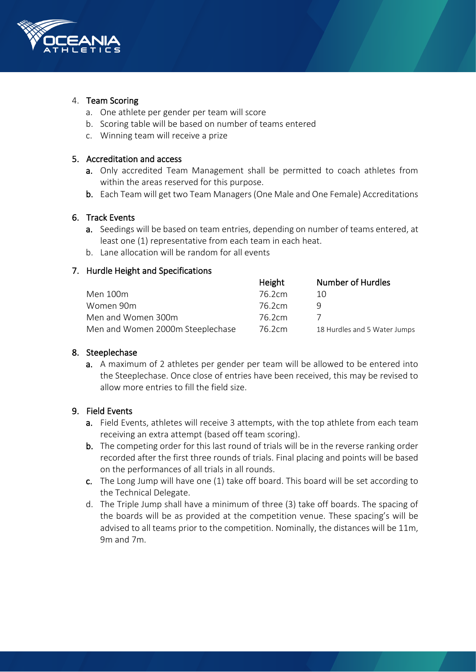

#### 4. Team Scoring

- a. One athlete per gender per team will score
- b. Scoring table will be based on number of teams entered
- c. Winning team will receive a prize

#### 5. Accreditation and access

- a. Only accredited Team Management shall be permitted to coach athletes from within the areas reserved for this purpose.
- b. Each Team will get two Team Managers (One Male and One Female) Accreditations

#### 6. Track Events

- a. Seedings will be based on team entries, depending on number of teams entered, at least one (1) representative from each team in each heat.
- b. Lane allocation will be random for all events

#### 7. Hurdle Height and Specifications

|                                  | Height | <b>Number of Hurdles</b>     |
|----------------------------------|--------|------------------------------|
| Men 100m                         | 76.2cm | 10                           |
| Women 90m                        | 76.2cm |                              |
| Men and Women 300m               | 76.2cm |                              |
| Men and Women 2000m Steeplechase | 76.2cm | 18 Hurdles and 5 Water Jumps |

#### 8. Steeplechase

a. A maximum of 2 athletes per gender per team will be allowed to be entered into the Steeplechase. Once close of entries have been received, this may be revised to allow more entries to fill the field size.

#### 9. Field Events

- a. Field Events, athletes will receive 3 attempts, with the top athlete from each team receiving an extra attempt (based off team scoring).
- b. The competing order for this last round of trials will be in the reverse ranking order recorded after the first three rounds of trials. Final placing and points will be based on the performances of all trials in all rounds.
- c. The Long Jump will have one (1) take off board. This board will be set according to the Technical Delegate.
- d. The Triple Jump shall have a minimum of three (3) take off boards. The spacing of the boards will be as provided at the competition venue. These spacing's will be advised to all teams prior to the competition. Nominally, the distances will be 11m, 9m and 7m.